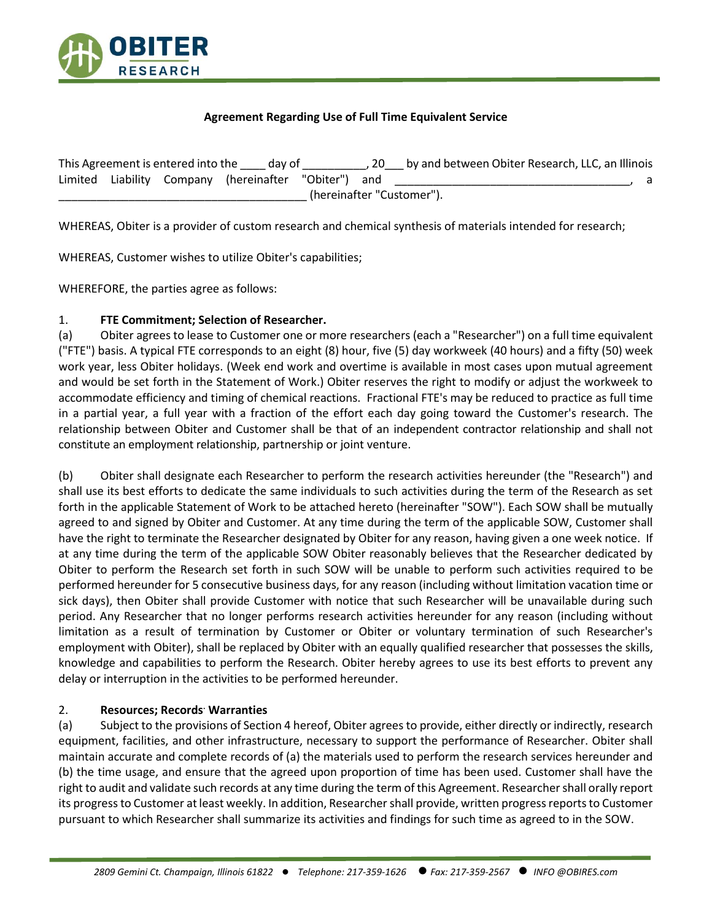

## **Agreement Regarding Use of Full Time Equivalent Service**

| This Agreement is entered into the day of |  |  |                                              |  | -20 | by and between Obiter Research, LLC, an Illinois |  |  |
|-------------------------------------------|--|--|----------------------------------------------|--|-----|--------------------------------------------------|--|--|
| Limited                                   |  |  | Liability Company (hereinafter "Obiter") and |  |     |                                                  |  |  |
| (hereinafter "Customer").                 |  |  |                                              |  |     |                                                  |  |  |

WHEREAS, Obiter is a provider of custom research and chemical synthesis of materials intended for research;

WHEREAS, Customer wishes to utilize Obiter's capabilities;

WHEREFORE, the parties agree as follows:

## 1. **FTE Commitment; Selection of Researcher.**

(a) Obiter agrees to lease to Customer one or more researchers (each a "Researcher") on a full time equivalent ("FTE") basis. A typical FTE corresponds to an eight (8) hour, five (5) day workweek (40 hours) and a fifty (50) week work year, less Obiter holidays. (Week end work and overtime is available in most cases upon mutual agreement and would be set forth in the Statement of Work.) Obiter reserves the right to modify or adjust the workweek to accommodate efficiency and timing of chemical reactions. Fractional FTE's may be reduced to practice as full time in a partial year, a full year with a fraction of the effort each day going toward the Customer's research. The relationship between Obiter and Customer shall be that of an independent contractor relationship and shall not constitute an employment relationship, partnership or joint venture.

(b) Obiter shall designate each Researcher to perform the research activities hereunder (the "Research") and shall use its best efforts to dedicate the same individuals to such activities during the term of the Research as set forth in the applicable Statement of Work to be attached hereto (hereinafter "SOW"). Each SOW shall be mutually agreed to and signed by Obiter and Customer. At any time during the term of the applicable SOW, Customer shall have the right to terminate the Researcher designated by Obiter for any reason, having given a one week notice. If at any time during the term of the applicable SOW Obiter reasonably believes that the Researcher dedicated by Obiter to perform the Research set forth in such SOW will be unable to perform such activities required to be performed hereunder for 5 consecutive business days, for any reason (including without limitation vacation time or sick days), then Obiter shall provide Customer with notice that such Researcher will be unavailable during such period. Any Researcher that no longer performs research activities hereunder for any reason (including without limitation as a result of termination by Customer or Obiter or voluntary termination of such Researcher's employment with Obiter), shall be replaced by Obiter with an equally qualified researcher that possesses the skills, knowledge and capabilities to perform the Research. Obiter hereby agrees to use its best efforts to prevent any delay or interruption in the activities to be performed hereunder.

## 2. **Resources; Records. Warranties**

(a) Subject to the provisions of Section 4 hereof, Obiter agrees to provide, either directly or indirectly, research equipment, facilities, and other infrastructure, necessary to support the performance of Researcher. Obiter shall maintain accurate and complete records of (a) the materials used to perform the research services hereunder and (b) the time usage, and ensure that the agreed upon proportion of time has been used. Customer shall have the right to audit and validate such records at any time during the term of this Agreement. Researcher shall orally report its progress to Customer at least weekly. In addition, Researcher shall provide, written progress reports to Customer pursuant to which Researcher shall summarize its activities and findings for such time as agreed to in the SOW.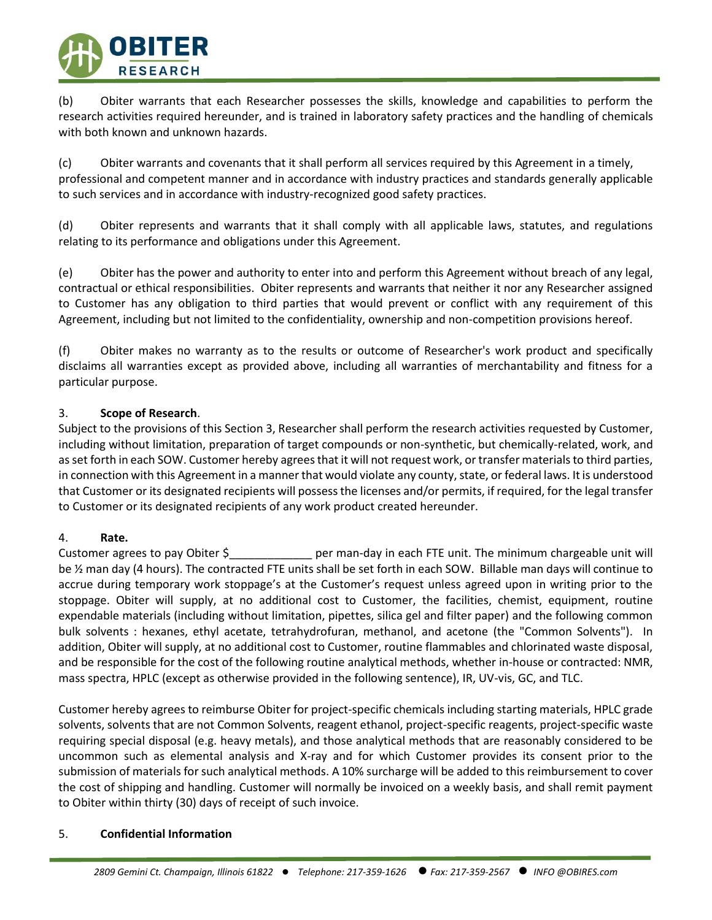

(b) Obiter warrants that each Researcher possesses the skills, knowledge and capabilities to perform the research activities required hereunder, and is trained in laboratory safety practices and the handling of chemicals with both known and unknown hazards.

(c) Obiter warrants and covenants that it shall perform all services required by this Agreement in a timely, professional and competent manner and in accordance with industry practices and standards generally applicable to such services and in accordance with industry-recognized good safety practices.

(d) Obiter represents and warrants that it shall comply with all applicable laws, statutes, and regulations relating to its performance and obligations under this Agreement.

(e) Obiter has the power and authority to enter into and perform this Agreement without breach of any legal, contractual or ethical responsibilities. Obiter represents and warrants that neither it nor any Researcher assigned to Customer has any obligation to third parties that would prevent or conflict with any requirement of this Agreement, including but not limited to the confidentiality, ownership and non-competition provisions hereof.

(f) Obiter makes no warranty as to the results or outcome of Researcher's work product and specifically disclaims all warranties except as provided above, including all warranties of merchantability and fitness for a particular purpose.

## 3. **Scope of Research**.

Subject to the provisions of this Section 3, Researcher shall perform the research activities requested by Customer, including without limitation, preparation of target compounds or non-synthetic, but chemically-related, work, and as set forth in each SOW. Customer hereby agrees that it will not request work, or transfer materials to third parties, in connection with this Agreement in a manner that would violate any county, state, or federal laws. It is understood that Customer or its designated recipients will possess the licenses and/or permits, if required, for the legal transfer to Customer or its designated recipients of any work product created hereunder.

## 4. **Rate.**

Customer agrees to pay Obiter \$ \_\_\_\_\_\_\_\_\_\_\_\_\_ per man-day in each FTE unit. The minimum chargeable unit will be ½ man day (4 hours). The contracted FTE units shall be set forth in each SOW. Billable man days will continue to accrue during temporary work stoppage's at the Customer's request unless agreed upon in writing prior to the stoppage. Obiter will supply, at no additional cost to Customer, the facilities, chemist, equipment, routine expendable materials (including without limitation, pipettes, silica gel and filter paper) and the following common bulk solvents : hexanes, ethyl acetate, tetrahydrofuran, methanol, and acetone (the "Common Solvents"). In addition, Obiter will supply, at no additional cost to Customer, routine flammables and chlorinated waste disposal, and be responsible for the cost of the following routine analytical methods, whether in-house or contracted: NMR, mass spectra, HPLC (except as otherwise provided in the following sentence), IR, UV-vis, GC, and TLC.

Customer hereby agrees to reimburse Obiter for project-specific chemicals including starting materials, HPLC grade solvents, solvents that are not Common Solvents, reagent ethanol, project-specific reagents, project-specific waste requiring special disposal (e.g. heavy metals), and those analytical methods that are reasonably considered to be uncommon such as elemental analysis and X-ray and for which Customer provides its consent prior to the submission of materials for such analytical methods. A 10% surcharge will be added to this reimbursement to cover the cost of shipping and handling. Customer will normally be invoiced on a weekly basis, and shall remit payment to Obiter within thirty (30) days of receipt of such invoice.

## 5. **Confidential Information**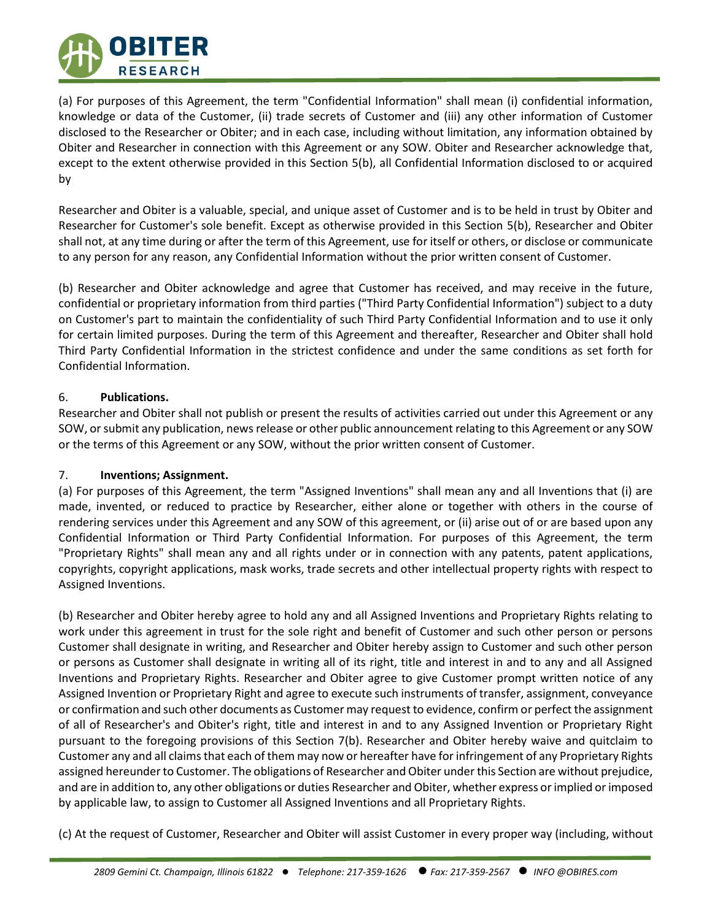

(a) For purposes of this Agreement, the term "Confidential Information" shall mean (i) confidential information, knowledge or data of the Customer, (ii) trade secrets of Customer and (iii) any other information of Customer disclosed to the Researcher or Obiter; and in each case, including without limitation, any information obtained by Obiter and Researcher in connection with this Agreement or any SOW. Obiter and Researcher acknowledge that, except to the extent otherwise provided in this Section 5(b), all Confidential Information disclosed to or acquired by

Researcher and Obiter is a valuable, special, and unique asset of Customer and is to be held in trust by Obiter and Researcher for Customer's sole benefit. Except as otherwise provided in this Section 5(b), Researcher and Obiter shall not, at any time during or after the term of this Agreement, use for itself or others, or disclose or communicate to any person for any reason, any Confidential Information without the prior written consent of Customer.

(b) Researcher and Obiter acknowledge and agree that Customer has received, and may receive in the future, confidential or proprietary information from third parties ("Third Party Confidential Information") subject to a duty on Customer's part to maintain the confidentiality of such Third Party Confidential Information and to use it only for certain limited purposes. During the term of this Agreement and thereafter, Researcher and Obiter shall hold Third Party Confidential Information in the strictest confidence and under the same conditions as set forth for Confidential Information.

## 6. **Publications.**

Researcher and Obiter shall not publish or present the results of activities carried out under this Agreement or any SOW, or submit any publication, news release or other public announcement relating to this Agreement or any SOW or the terms of this Agreement or any SOW, without the prior written consent of Customer.

# 7. **Inventions; Assignment.**

(a) For purposes of this Agreement, the term "Assigned Inventions" shall mean any and all Inventions that (i) are made, invented, or reduced to practice by Researcher, either alone or together with others in the course of rendering services under this Agreement and any SOW of this agreement, or (ii) arise out of or are based upon any Confidential Information or Third Party Confidential Information. For purposes of this Agreement, the term "Proprietary Rights" shall mean any and all rights under or in connection with any patents, patent applications, copyrights, copyright applications, mask works, trade secrets and other intellectual property rights with respect to Assigned Inventions.

(b) Researcher and Obiter hereby agree to hold any and all Assigned Inventions and Proprietary Rights relating to work under this agreement in trust for the sole right and benefit of Customer and such other person or persons Customer shall designate in writing, and Researcher and Obiter hereby assign to Customer and such other person or persons as Customer shall designate in writing all of its right, title and interest in and to any and all Assigned Inventions and Proprietary Rights. Researcher and Obiter agree to give Customer prompt written notice of any Assigned Invention or Proprietary Right and agree to execute such instruments of transfer, assignment, conveyance or confirmation and such other documents as Customer may request to evidence, confirm or perfect the assignment of all of Researcher's and Obiter's right, title and interest in and to any Assigned Invention or Proprietary Right pursuant to the foregoing provisions of this Section 7(b). Researcher and Obiter hereby waive and quitclaim to Customer any and all claims that each of them may now or hereafter have for infringement of any Proprietary Rights assigned hereunder to Customer. The obligations of Researcher and Obiter under this Section are without prejudice, and are in addition to, any other obligations or duties Researcher and Obiter, whether express or implied or imposed by applicable law, to assign to Customer all Assigned Inventions and all Proprietary Rights.

(c) At the request of Customer, Researcher and Obiter will assist Customer in every proper way (including, without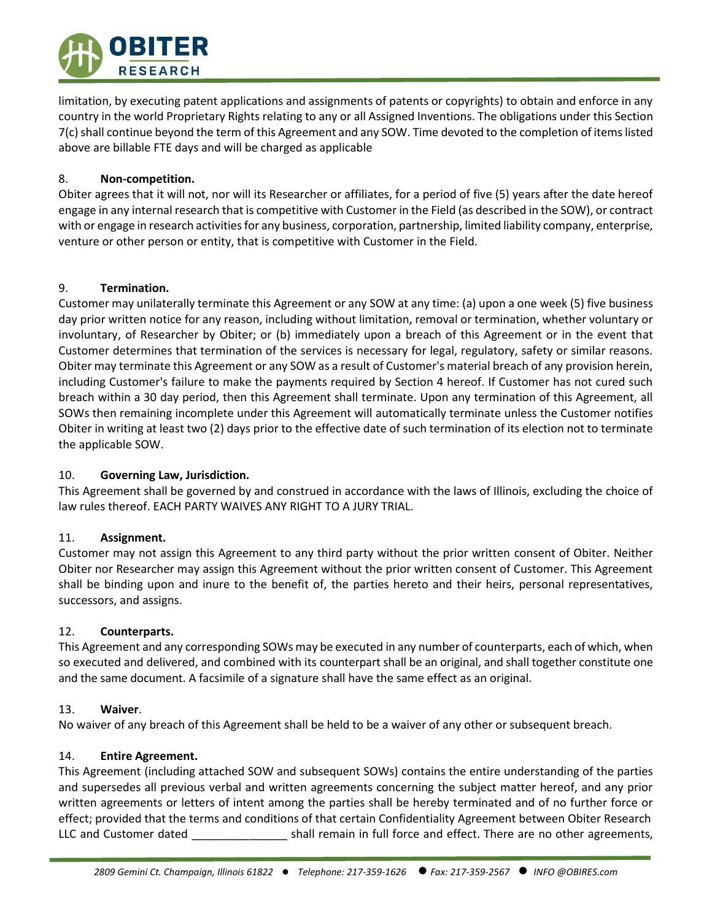

limitation, by executing patent applications and assignments of patents or copyrights) to obtain and enforce in any country in the world Proprietary Rights relating to any or all Assigned Inventions. The obligations under this Section 7(c) shall continue beyond the term of this Agreement and any SOW. Time devoted to the completion of items listed above are billable FTE days and will be charged as applicable

## 8. **Non-competition.**

Obiter agrees that it will not, nor will its Researcher or affiliates, for a period of five (5) years after the date hereof engage in any internal research that is competitive with Customer in the Field (as described in the SOW), or contract with or engage in research activities for any business, corporation, partnership, limited liability company, enterprise, venture or other person or entity, that is competitive with Customer in the Field.

## 9. **Termination.**

Customer may unilaterally terminate this Agreement or any SOW at any time: (a) upon a one week (5) five business day prior written notice for any reason, including without limitation, removal or termination, whether voluntary or involuntary, of Researcher by Obiter; or (b) immediately upon a breach of this Agreement or in the event that Customer determines that termination of the services is necessary for legal, regulatory, safety or similar reasons. Obiter may terminate this Agreement or any SOW as a result of Customer's material breach of any provision herein, including Customer's failure to make the payments required by Section 4 hereof. If Customer has not cured such breach within a 30 day period, then this Agreement shall terminate. Upon any termination of this Agreement, all SOWs then remaining incomplete under this Agreement will automatically terminate unless the Customer notifies Obiter in writing at least two (2) days prior to the effective date of such termination of its election not to terminate the applicable SOW.

# 10. **Governing Law, Jurisdiction.**

This Agreement shall be governed by and construed in accordance with the laws of Illinois, excluding the choice of law rules thereof. EACH PARTY WAIVES ANY RIGHT TO A JURY TRIAL.

## 11. **Assignment.**

Customer may not assign this Agreement to any third party without the prior written consent of Obiter. Neither Obiter nor Researcher may assign this Agreement without the prior written consent of Customer. This Agreement shall be binding upon and inure to the benefit of, the parties hereto and their heirs, personal representatives, successors, and assigns.

## 12. **Counterparts.**

This Agreement and any corresponding SOWs may be executed in any number of counterparts, each of which, when so executed and delivered, and combined with its counterpart shall be an original, and shall together constitute one and the same document. A facsimile of a signature shall have the same effect as an original.

## 13. **Waiver**.

No waiver of any breach of this Agreement shall be held to be a waiver of any other or subsequent breach.

# 14. **Entire Agreement.**

This Agreement (including attached SOW and subsequent SOWs) contains the entire understanding of the parties and supersedes all previous verbal and written agreements concerning the subject matter hereof, and any prior written agreements or letters of intent among the parties shall be hereby terminated and of no further force or effect; provided that the terms and conditions of that certain Confidentiality Agreement between Obiter Research LLC and Customer dated \_\_\_\_\_\_\_\_\_\_\_\_\_\_\_\_\_\_\_\_ shall remain in full force and effect. There are no other agreements,